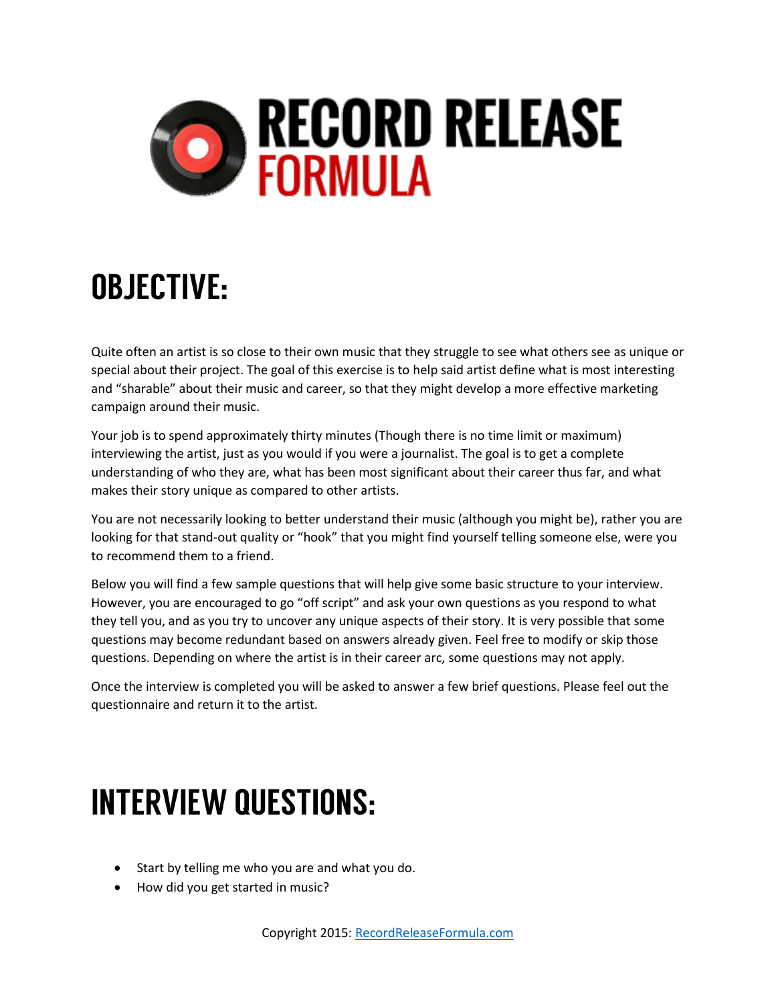

## **OBJECTIVE:**

Quite often an artist is so close to their own music that they struggle to see what others see as unique or special about their project. The goal of this exercise is to help said artist define what is most interesting and "sharable" about their music and career, so that they might develop a more effective marketing campaign around their music.

Your job is to spend approximately thirty minutes (Though there is no time limit or maximum) interviewing the artist, just as you would if you were a journalist. The goal is to get a complete understanding of who they are, what has been most significant about their career thus far, and what makes their story unique as compared to other artists.

You are not necessarily looking to better understand their music (although you might be), rather you are looking for that stand-out quality or "hook" that you might find yourself telling someone else, were you to recommend them to a friend.

Below you will find a few sample questions that will help give some basic structure to your interview. However, you are encouraged to go "off script" and ask your own questions as you respond to what they tell you, and as you try to uncover any unique aspects of their story. It is very possible that some questions may become redundant based on answers already given. Feel free to modify or skip those questions. Depending on where the artist is in their career arc, some questions may not apply.

Once the interview is completed you will be asked to answer a few brief questions. Please feel out the questionnaire and return it to the artist.

## **INTERVIEW QUESTIONS:**

- Start by telling me who you are and what you do.
- How did you get started in music?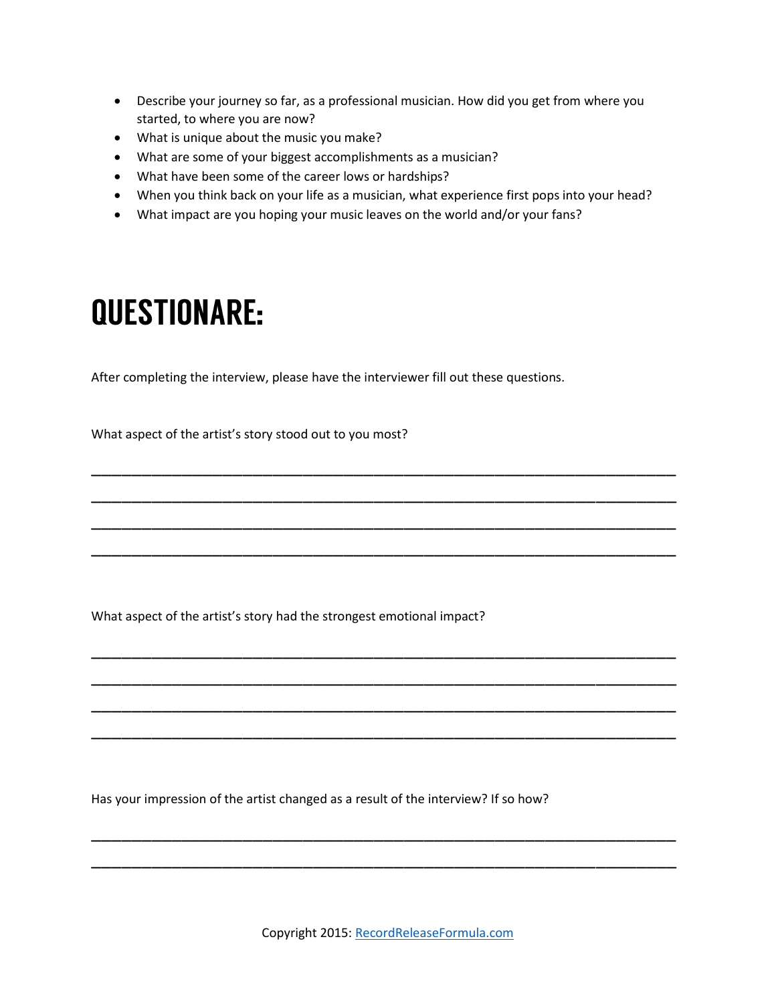- Describe your journey so far, as a professional musician. How did you get from where you started, to where you are now?
- What is unique about the music you make?
- What are some of your biggest accomplishments as a musician?
- What have been some of the career lows or hardships?
- When you think back on your life as a musician, what experience first pops into your head?

\_\_\_\_\_\_\_\_\_\_\_\_\_\_\_\_\_\_\_\_\_\_\_\_\_\_\_\_\_\_\_\_\_\_\_\_\_\_\_\_\_\_\_\_\_\_\_\_\_\_\_\_\_\_\_\_\_\_

\_\_\_\_\_\_\_\_\_\_\_\_\_\_\_\_\_\_\_\_\_\_\_\_\_\_\_\_\_\_\_\_\_\_\_\_\_\_\_\_\_\_\_\_\_\_\_\_\_\_\_\_\_\_\_\_\_\_

\_\_\_\_\_\_\_\_\_\_\_\_\_\_\_\_\_\_\_\_\_\_\_\_\_\_\_\_\_\_\_\_\_\_\_\_\_\_\_\_\_\_\_\_\_\_\_\_\_\_\_\_\_\_\_\_\_\_

\_\_\_\_\_\_\_\_\_\_\_\_\_\_\_\_\_\_\_\_\_\_\_\_\_\_\_\_\_\_\_\_\_\_\_\_\_\_\_\_\_\_\_\_\_\_\_\_\_\_\_\_\_\_\_\_\_\_

\_\_\_\_\_\_\_\_\_\_\_\_\_\_\_\_\_\_\_\_\_\_\_\_\_\_\_\_\_\_\_\_\_\_\_\_\_\_\_\_\_\_\_\_\_\_\_\_\_\_\_\_\_\_\_\_\_\_

\_\_\_\_\_\_\_\_\_\_\_\_\_\_\_\_\_\_\_\_\_\_\_\_\_\_\_\_\_\_\_\_\_\_\_\_\_\_\_\_\_\_\_\_\_\_\_\_\_\_\_\_\_\_\_\_\_\_

\_\_\_\_\_\_\_\_\_\_\_\_\_\_\_\_\_\_\_\_\_\_\_\_\_\_\_\_\_\_\_\_\_\_\_\_\_\_\_\_\_\_\_\_\_\_\_\_\_\_\_\_\_\_\_\_\_\_

\_\_\_\_\_\_\_\_\_\_\_\_\_\_\_\_\_\_\_\_\_\_\_\_\_\_\_\_\_\_\_\_\_\_\_\_\_\_\_\_\_\_\_\_\_\_\_\_\_\_\_\_\_\_\_\_\_\_

\_\_\_\_\_\_\_\_\_\_\_\_\_\_\_\_\_\_\_\_\_\_\_\_\_\_\_\_\_\_\_\_\_\_\_\_\_\_\_\_\_\_\_\_\_\_\_\_\_\_\_\_\_\_\_\_\_\_

\_\_\_\_\_\_\_\_\_\_\_\_\_\_\_\_\_\_\_\_\_\_\_\_\_\_\_\_\_\_\_\_\_\_\_\_\_\_\_\_\_\_\_\_\_\_\_\_\_\_\_\_\_\_\_\_\_\_

What impact are you hoping your music leaves on the world and/or your fans?

## **QUESTIONARE:**

After completing the interview, please have the interviewer fill out these questions.

What aspect of the artist's story stood out to you most?

What aspect of the artist's story had the strongest emotional impact?

Has your impression of the artist changed as a result of the interview? If so how?

Copyright 2015: [RecordReleaseFormula.com](http://www.recordreleaseformula.com/)